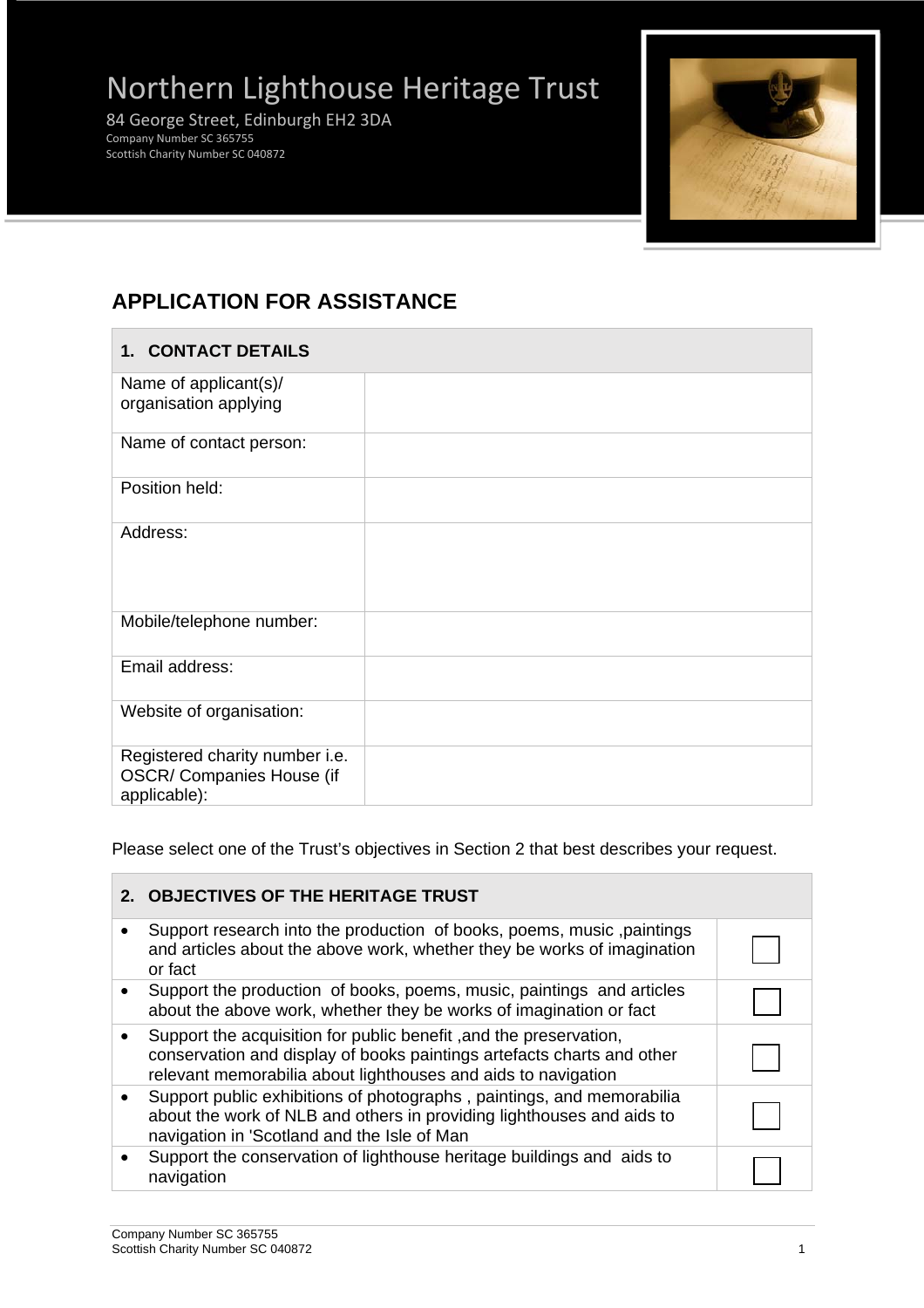# Northern Lighthouse Heritage Trust

 84 George Street, Edinburgh EH2 3DA Company Number SC 365755 Scottish Charity Number SC 040872



# **APPLICATION FOR ASSISTANCE**

| 1. CONTACT DETAILS                                                          |  |
|-----------------------------------------------------------------------------|--|
| Name of applicant(s)/<br>organisation applying                              |  |
| Name of contact person:                                                     |  |
| Position held:                                                              |  |
| Address:                                                                    |  |
| Mobile/telephone number:                                                    |  |
| Email address:                                                              |  |
| Website of organisation:                                                    |  |
| Registered charity number i.e.<br>OSCR/ Companies House (if<br>applicable): |  |

Please select one of the Trust's objectives in Section 2 that best describes your request.

|           | 2. OBJECTIVES OF THE HERITAGE TRUST                                                                                                                                                                          |  |
|-----------|--------------------------------------------------------------------------------------------------------------------------------------------------------------------------------------------------------------|--|
|           | Support research into the production of books, poems, music, paintings<br>and articles about the above work, whether they be works of imagination<br>or fact                                                 |  |
|           | Support the production of books, poems, music, paintings and articles<br>about the above work, whether they be works of imagination or fact                                                                  |  |
|           | Support the acquisition for public benefit, and the preservation,<br>conservation and display of books paintings artefacts charts and other<br>relevant memorabilia about lighthouses and aids to navigation |  |
| $\bullet$ | Support public exhibitions of photographs, paintings, and memorabilia<br>about the work of NLB and others in providing lighthouses and aids to<br>navigation in 'Scotland and the Isle of Man                |  |
|           | Support the conservation of lighthouse heritage buildings and aids to<br>navigation                                                                                                                          |  |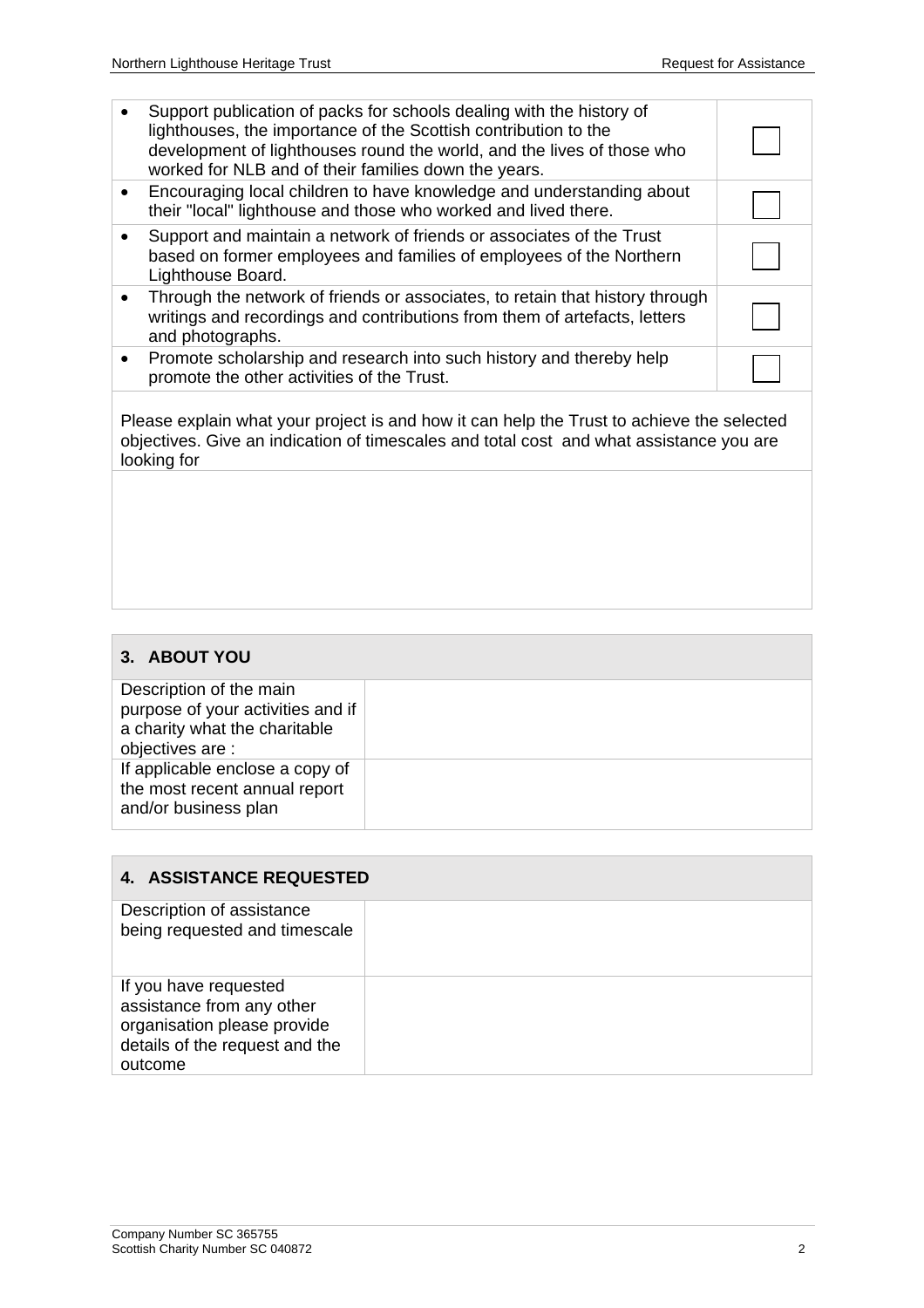| Support publication of packs for schools dealing with the history of<br>lighthouses, the importance of the Scottish contribution to the<br>development of lighthouses round the world, and the lives of those who<br>worked for NLB and of their families down the years. |  |
|---------------------------------------------------------------------------------------------------------------------------------------------------------------------------------------------------------------------------------------------------------------------------|--|
| Encouraging local children to have knowledge and understanding about<br>their "local" lighthouse and those who worked and lived there.                                                                                                                                    |  |
| Support and maintain a network of friends or associates of the Trust<br>based on former employees and families of employees of the Northern<br>Lighthouse Board.                                                                                                          |  |
| Through the network of friends or associates, to retain that history through<br>writings and recordings and contributions from them of artefacts, letters<br>and photographs.                                                                                             |  |
| Promote scholarship and research into such history and thereby help<br>promote the other activities of the Trust.                                                                                                                                                         |  |
|                                                                                                                                                                                                                                                                           |  |

Please explain what your project is and how it can help the Trust to achieve the selected objectives. Give an indication of timescales and total cost and what assistance you are looking for

## **3. ABOUT YOU**

Description of the main purpose of your activities and if a charity what the charitable objectives are : If applicable enclose a copy of the most recent annual report and/or business plan

## **4. ASSISTANCE REQUESTED**

| Description of assistance<br>being requested and timescale                                                                     |  |
|--------------------------------------------------------------------------------------------------------------------------------|--|
| If you have requested<br>assistance from any other<br>organisation please provide<br>details of the request and the<br>outcome |  |